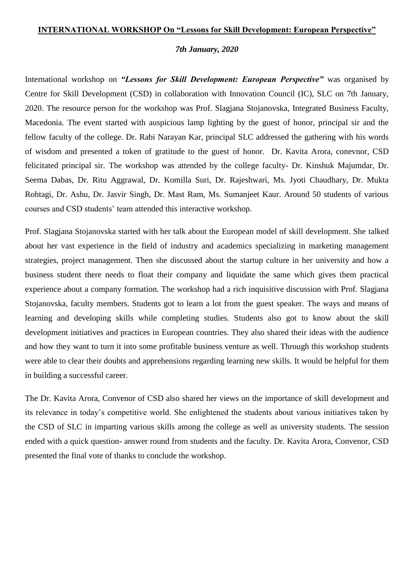## **INTERNATIONAL WORKSHOP On "Lessons for Skill Development: European Perspective"**

## *7th January, 2020*

International workshop on *"Lessons for Skill Development: European Perspective"* was organised by Centre for Skill Development (CSD) in collaboration with Innovation Council (IC), SLC on 7th January, 2020. The resource person for the workshop was Prof. Slagjana Stojanovska, Integrated Business Faculty, Macedonia. The event started with auspicious lamp lighting by the guest of honor, principal sir and the fellow faculty of the college. Dr. Rabi Narayan Kar, principal SLC addressed the gathering with his words of wisdom and presented a token of gratitude to the guest of honor. Dr. Kavita Arora, conevnor, CSD felicitated principal sir. The workshop was attended by the college faculty- Dr. Kinshuk Majumdar, Dr. Seema Dabas, Dr. Ritu Aggrawal, Dr. Komilla Suri, Dr. Rajeshwari, Ms. Jyoti Chaudhary, Dr. Mukta Rohtagi, Dr. Ashu, Dr. Jasvir Singh, Dr. Mast Ram, Ms. Sumanjeet Kaur. Around 50 students of various courses and CSD students' team attended this interactive workshop.

Prof. Slagjana Stojanovska started with her talk about the European model of skill development. She talked about her vast experience in the field of industry and academics specializing in marketing management strategies, project management. Then she discussed about the startup culture in her university and how a business student there needs to float their company and liquidate the same which gives them practical experience about a company formation. The workshop had a rich inquisitive discussion with Prof. Slagjana Stojanovska, faculty members. Students got to learn a lot from the guest speaker. The ways and means of learning and developing skills while completing studies. Students also got to know about the skill development initiatives and practices in European countries. They also shared their ideas with the audience and how they want to turn it into some profitable business venture as well. Through this workshop students were able to clear their doubts and apprehensions regarding learning new skills. It would be helpful for them in building a successful career.

The Dr. Kavita Arora, Convenor of CSD also shared her views on the importance of skill development and its relevance in today's competitive world. She enlightened the students about various initiatives taken by the CSD of SLC in imparting various skills among the college as well as university students. The session ended with a quick question- answer round from students and the faculty. Dr. Kavita Arora, Convenor, CSD presented the final vote of thanks to conclude the workshop.